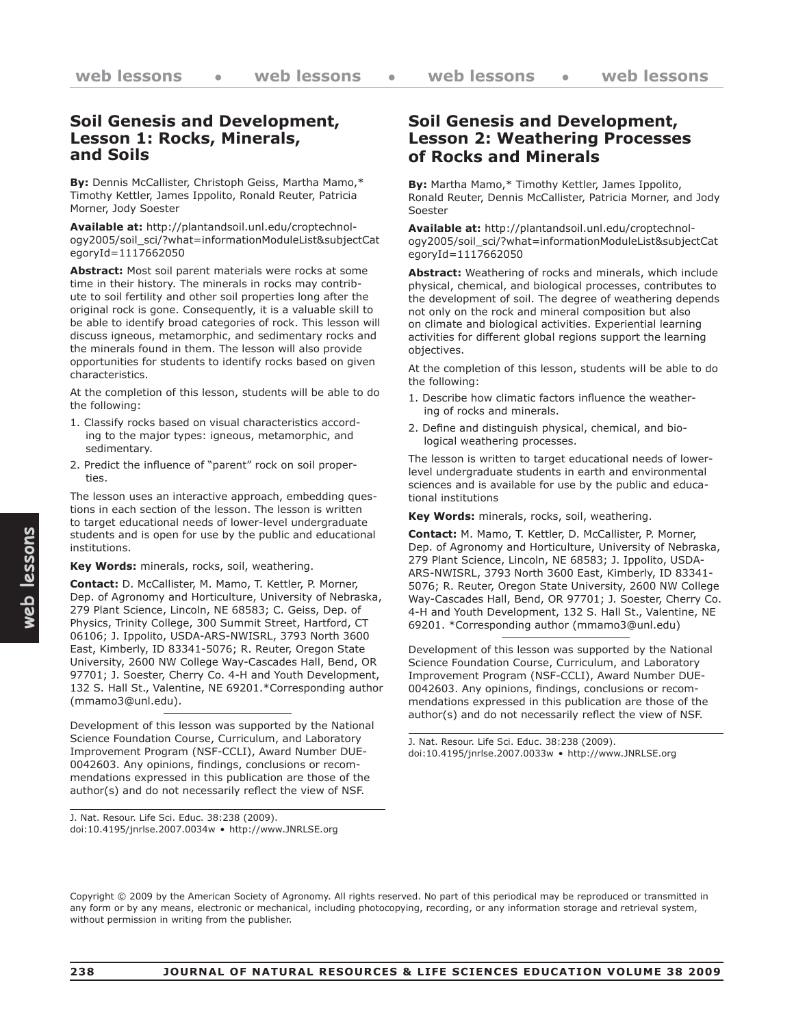#### **Soil Genesis and Development, Lesson 1: Rocks, Minerals, and Soils**

**By:** Dennis McCallister, Christoph Geiss, Martha Mamo,\* Timothy Kettler, James Ippolito, Ronald Reuter, Patricia Morner, Jody Soester

**Available at:** http://plantandsoil.unl.edu/croptechnology2005/soil\_sci/?what=informationModuleList&subjectCat egoryId=1117662050

**Abstract:** Most soil parent materials were rocks at some time in their history. The minerals in rocks may contribute to soil fertility and other soil properties long after the original rock is gone. Consequently, it is a valuable skill to be able to identify broad categories of rock. This lesson will discuss igneous, metamorphic, and sedimentary rocks and the minerals found in them. The lesson will also provide opportunities for students to identify rocks based on given characteristics.

At the completion of this lesson, students will be able to do the following:

- 1. Classify rocks based on visual characteristics according to the major types: igneous, metamorphic, and sedimentary.
- 2. Predict the influence of "parent" rock on soil properties.

The lesson uses an interactive approach, embedding questions in each section of the lesson. The lesson is written to target educational needs of lower-level undergraduate students and is open for use by the public and educational institutions.

#### **Key Words:** minerals, rocks, soil, weathering.

**Contact:** D. McCallister, M. Mamo, T. Kettler, P. Morner, Dep. of Agronomy and Horticulture, University of Nebraska, 279 Plant Science, Lincoln, NE 68583; C. Geiss, Dep. of Physics, Trinity College, 300 Summit Street, Hartford, CT 06106; J. Ippolito, USDA-ARS-NWISRL, 3793 North 3600 East, Kimberly, ID 83341-5076; R. Reuter, Oregon State University, 2600 NW College Way-Cascades Hall, Bend, OR 97701; J. Soester, Cherry Co. 4-H and Youth Development, 132 S. Hall St., Valentine, NE 69201.\*Corresponding author (mmamo3@unl.edu).

Development of this lesson was supported by the National Science Foundation Course, Curriculum, and Laboratory Improvement Program (NSF-CCLI), Award Number DUE-0042603. Any opinions, findings, conclusions or recommendations expressed in this publication are those of the author(s) and do not necessarily reflect the view of NSF.

J. Nat. Resour. Life Sci. Educ. 38:238 (2009). doi:10.4195/jnrlse.2007.0034w • http://www.JNRLSE.org

## **Soil Genesis and Development, Lesson 2: Weathering Processes of Rocks and Minerals**

**By:** Martha Mamo,\* Timothy Kettler, James Ippolito, Ronald Reuter, Dennis McCallister, Patricia Morner, and Jody Soester

**Available at:** http://plantandsoil.unl.edu/croptechnology2005/soil\_sci/?what=informationModuleList&subjectCat egoryId=1117662050

**Abstract:** Weathering of rocks and minerals, which include physical, chemical, and biological processes, contributes to the development of soil. The degree of weathering depends not only on the rock and mineral composition but also on climate and biological activities. Experiential learning activities for different global regions support the learning objectives.

At the completion of this lesson, students will be able to do the following:

- 1. Describe how climatic factors influence the weathering of rocks and minerals.
- 2. Define and distinguish physical, chemical, and biological weathering processes.

The lesson is written to target educational needs of lowerlevel undergraduate students in earth and environmental sciences and is available for use by the public and educational institutions

**Key Words:** minerals, rocks, soil, weathering.

**Contact:** M. Mamo, T. Kettler, D. McCallister, P. Morner, Dep. of Agronomy and Horticulture, University of Nebraska, 279 Plant Science, Lincoln, NE 68583; J. Ippolito, USDA-ARS-NWISRL, 3793 North 3600 East, Kimberly, ID 83341- 5076; R. Reuter, Oregon State University, 2600 NW College Way-Cascades Hall, Bend, OR 97701; J. Soester, Cherry Co. 4-H and Youth Development, 132 S. Hall St., Valentine, NE 69201. \*Corresponding author (mmamo3@unl.edu)

Development of this lesson was supported by the National Science Foundation Course, Curriculum, and Laboratory Improvement Program (NSF-CCLI), Award Number DUE-0042603. Any opinions, findings, conclusions or recommendations expressed in this publication are those of the author(s) and do not necessarily reflect the view of NSF.

J. Nat. Resour. Life Sci. Educ. 38:238 (2009). doi:10.4195/jnrlse.2007.0033w • http://www.JNRLSE.org

Copyright © 2009 by the American Society of Agronomy. All rights reserved. No part of this periodical may be reproduced or transmitted in any form or by any means, electronic or mechanical, including photocopying, recording, or any information storage and retrieval system, without permission in writing from the publisher.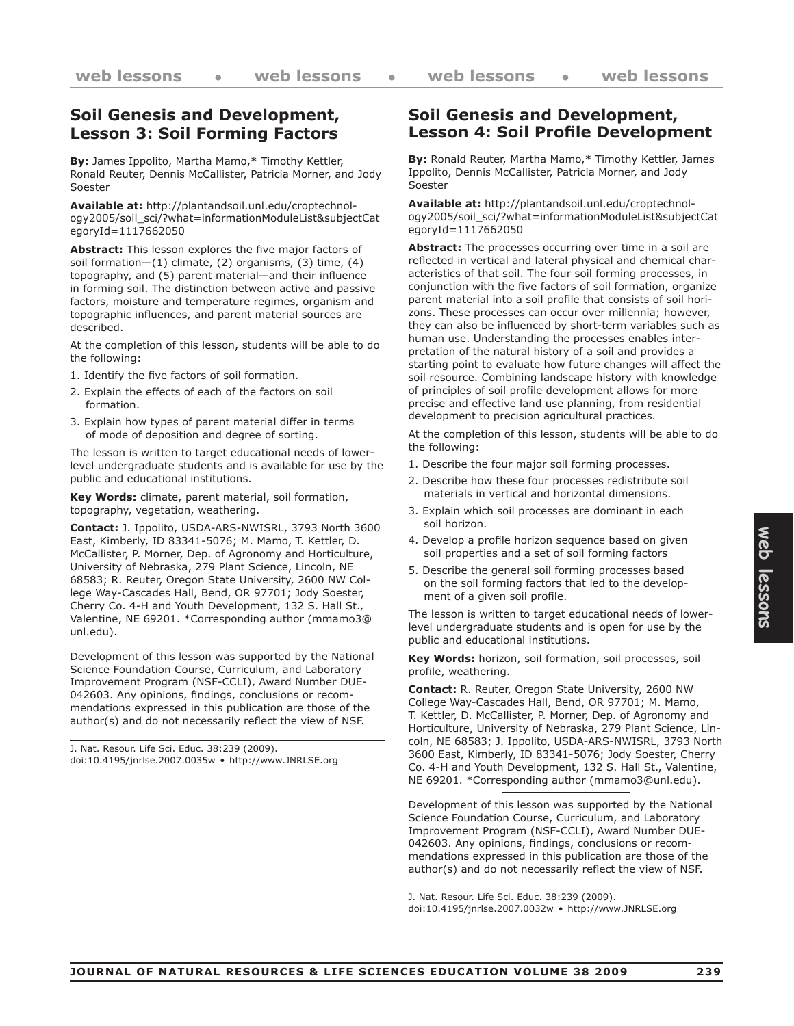## **Soil Genesis and Development, Lesson 3: Soil Forming Factors**

**By:** James Ippolito, Martha Mamo,\* Timothy Kettler, Ronald Reuter, Dennis McCallister, Patricia Morner, and Jody Soester

**Available at:** http://plantandsoil.unl.edu/croptechnology2005/soil\_sci/?what=informationModuleList&subjectCat egoryId=1117662050

**Abstract:** This lesson explores the five major factors of soil formation—(1) climate, (2) organisms, (3) time, (4) topography, and (5) parent material—and their influence in forming soil. The distinction between active and passive factors, moisture and temperature regimes, organism and topographic influences, and parent material sources are described.

At the completion of this lesson, students will be able to do the following:

- 1. Identify the five factors of soil formation.
- 2. Explain the effects of each of the factors on soil formation.
- 3. Explain how types of parent material differ in terms of mode of deposition and degree of sorting.

The lesson is written to target educational needs of lowerlevel undergraduate students and is available for use by the public and educational institutions.

**Key Words:** climate, parent material, soil formation, topography, vegetation, weathering.

**Contact:** J. Ippolito, USDA-ARS-NWISRL, 3793 North 3600 East, Kimberly, ID 83341-5076; M. Mamo, T. Kettler, D. McCallister, P. Morner, Dep. of Agronomy and Horticulture, University of Nebraska, 279 Plant Science, Lincoln, NE 68583; R. Reuter, Oregon State University, 2600 NW College Way-Cascades Hall, Bend, OR 97701; Jody Soester, Cherry Co. 4-H and Youth Development, 132 S. Hall St., Valentine, NE 69201. \*Corresponding author (mmamo3@ unl.edu).

Development of this lesson was supported by the National Science Foundation Course, Curriculum, and Laboratory Improvement Program (NSF-CCLI), Award Number DUE-042603. Any opinions, findings, conclusions or recommendations expressed in this publication are those of the author(s) and do not necessarily reflect the view of NSF.

J. Nat. Resour. Life Sci. Educ. 38:239 (2009). doi:10.4195/jnrlse.2007.0035w • http://www.JNRLSE.org

#### **Soil Genesis and Development, Lesson 4: Soil Profile Development**

**By:** Ronald Reuter, Martha Mamo,\* Timothy Kettler, James Ippolito, Dennis McCallister, Patricia Morner, and Jody Soester

**Available at:** http://plantandsoil.unl.edu/croptechnology2005/soil\_sci/?what=informationModuleList&subjectCat egoryId=1117662050

**Abstract:** The processes occurring over time in a soil are reflected in vertical and lateral physical and chemical characteristics of that soil. The four soil forming processes, in conjunction with the five factors of soil formation, organize parent material into a soil profile that consists of soil horizons. These processes can occur over millennia; however, they can also be influenced by short-term variables such as human use. Understanding the processes enables interpretation of the natural history of a soil and provides a starting point to evaluate how future changes will affect the soil resource. Combining landscape history with knowledge of principles of soil profile development allows for more precise and effective land use planning, from residential development to precision agricultural practices.

At the completion of this lesson, students will be able to do the following:

- 1. Describe the four major soil forming processes.
- 2. Describe how these four processes redistribute soil materials in vertical and horizontal dimensions.
- 3. Explain which soil processes are dominant in each soil horizon.
- 4. Develop a profile horizon sequence based on given soil properties and a set of soil forming factors
- 5. Describe the general soil forming processes based on the soil forming factors that led to the development of a given soil profile.

The lesson is written to target educational needs of lowerlevel undergraduate students and is open for use by the public and educational institutions.

**Key Words:** horizon, soil formation, soil processes, soil profile, weathering.

**Contact:** R. Reuter, Oregon State University, 2600 NW College Way-Cascades Hall, Bend, OR 97701; M. Mamo, T. Kettler, D. McCallister, P. Morner, Dep. of Agronomy and Horticulture, University of Nebraska, 279 Plant Science, Lincoln, NE 68583; J. Ippolito, USDA-ARS-NWISRL, 3793 North 3600 East, Kimberly, ID 83341-5076; Jody Soester, Cherry Co. 4-H and Youth Development, 132 S. Hall St., Valentine, NE 69201. \*Corresponding author (mmamo3@unl.edu).

Development of this lesson was supported by the National Science Foundation Course, Curriculum, and Laboratory Improvement Program (NSF-CCLI), Award Number DUE-042603. Any opinions, findings, conclusions or recommendations expressed in this publication are those of the author(s) and do not necessarily reflect the view of NSF.

J. Nat. Resour. Life Sci. Educ. 38:239 (2009). doi:10.4195/jnrlse.2007.0032w • http://www.JNRLSE.org